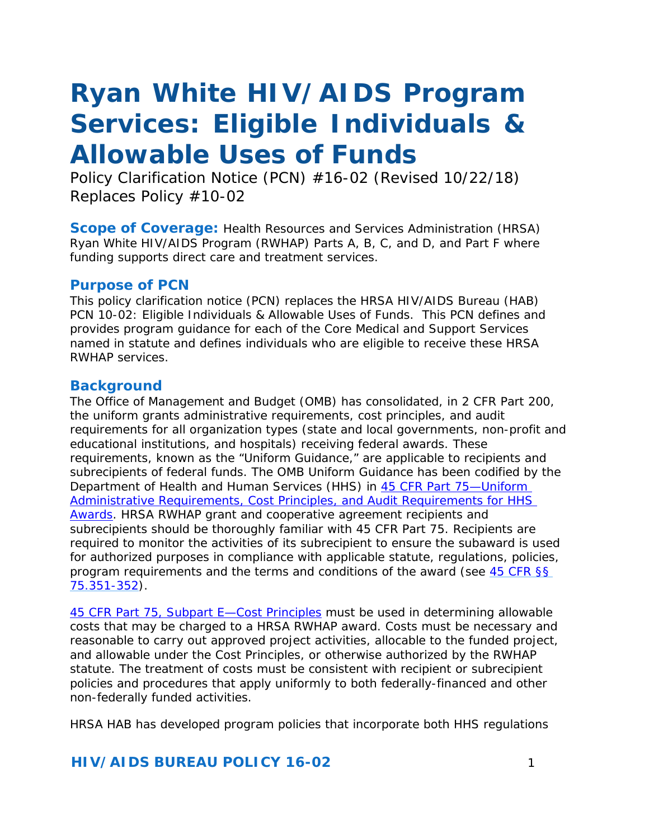# *Ryan White HIV/AIDS Program Services: Eligible Individuals & Allowable Uses of Funds*

*Policy Clarification Notice (PCN)* #16-02 (Revised 10/22/18) *Replaces Policy #10-02*

**Scope of Coverage:** Health Resources and Services Administration (HRSA) Ryan White HIV/AIDS Program (RWHAP) Parts A, B, C, and D, and Part F where funding supports direct care and treatment services.

#### **Purpose of PCN**

This policy clarification notice (PCN) replaces the HRSA HIV/AIDS Bureau (HAB) PCN 10-02: Eligible Individuals & Allowable Uses of Funds. This PCN defines and provides program guidance for each of the Core Medical and Support Services named in statute and defines individuals who are eligible to receive these HRSA RWHAP services.

## **Background**

The Office of Management and Budget (OMB) has consolidated, in 2 CFR Part 200, the uniform grants administrative requirements, cost principles, and audit requirements for all organization types (state and local governments, non-profit and educational institutions, and hospitals) receiving federal awards. These requirements, known as the "Uniform Guidance," are applicable to recipients and subrecipients of federal funds. The OMB Uniform Guidance has been codified by the Department of Health and Human Services (HHS) in 45 CFR Part 75-Uniform [Administrative Requirements, Cost Principles, and Audit Requirements for HHS](http://www.ecfr.gov/cgi-bin/retrieveECFR?gp=1&SID=8e23e677af6f342fbda93466031680c1&ty=HTML&h=L&mc=true&r=PART&n=pt45.1.75) [Awards.](http://www.ecfr.gov/cgi-bin/retrieveECFR?gp=1&SID=8e23e677af6f342fbda93466031680c1&ty=HTML&h=L&mc=true&r=PART&n=pt45.1.75) HRSA RWHAP grant and cooperative agreement recipients and subrecipients should be thoroughly familiar with 45 CFR Part 75. Recipients are required to monitor the activities of its subrecipient to ensure the subaward is used for authorized purposes in compliance with applicable statute, regulations, policies, program requirements and the terms and conditions of the award (see [45 CFR §§](http://www.ecfr.gov/cgi-bin/retrieveECFR?gp=1&SID=8e23e677af6f342fbda93466031680c1&ty=HTML&h=L&mc=true&r=PART&n=pt45.1.75&sg45.1.75_1344_675_1350.sg4) [75.351-352\)](http://www.ecfr.gov/cgi-bin/retrieveECFR?gp=1&SID=8e23e677af6f342fbda93466031680c1&ty=HTML&h=L&mc=true&r=PART&n=pt45.1.75&sg45.1.75_1344_675_1350.sg4).

[45 CFR Part 75, Subpart E—Cost Principles](http://www.ecfr.gov/cgi-bin/retrieveECFR?gp=1&SID=8e23e677af6f342fbda93466031680c1&ty=HTML&h=L&mc=true&r=PART&n=pt45.1.75&sp45.1.75.e) must be used in determining allowable costs that may be charged to a HRSA RWHAP award. Costs must be necessary and reasonable to carry out approved project activities, allocable to the funded project, and allowable under the Cost Principles, or otherwise authorized by the RWHAP statute. The treatment of costs must be consistent with recipient or subrecipient policies and procedures that apply uniformly to both federally-financed and other non-federally funded activities.

HRSA HAB has developed program policies that incorporate both HHS regulations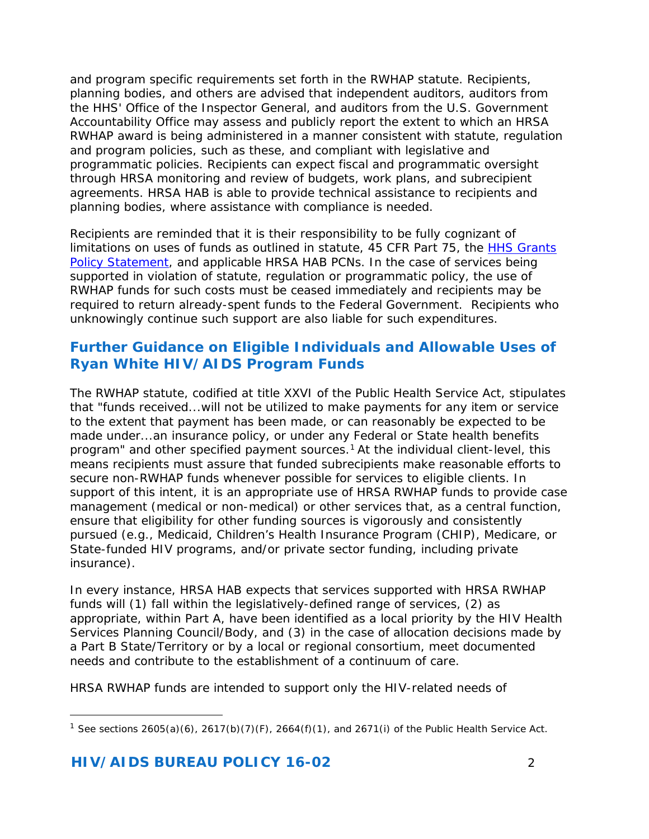and program specific requirements set forth in the RWHAP statute. Recipients, planning bodies, and others are advised that independent auditors, auditors from the HHS' Office of the Inspector General, and auditors from the U.S. Government Accountability Office may assess and publicly report the extent to which an HRSA RWHAP award is being administered in a manner consistent with statute, regulation and program policies, such as these, and compliant with legislative and programmatic policies. Recipients can expect fiscal and programmatic oversight through HRSA monitoring and review of budgets, work plans, and subrecipient agreements. HRSA HAB is able to provide technical assistance to recipients and planning bodies, where assistance with compliance is needed.

Recipients are reminded that it is their responsibility to be fully cognizant of limitations on uses of funds as outlined in statute, 45 CFR Part 75, the [HHS Grants](http://www.hrsa.gov/grants/hhsgrantspolicy.pdf) [Policy Statement,](http://www.hrsa.gov/grants/hhsgrantspolicy.pdf) and applicable HRSA HAB PCNs. In the case of services being supported in violation of statute, regulation or programmatic policy, the use of RWHAP funds for such costs must be ceased immediately and recipients may be required to return already-spent funds to the Federal Government. Recipients who unknowingly continue such support are also liable for such expenditures.

## **Further Guidance on Eligible Individuals and Allowable Uses of Ryan White HIV/AIDS Program Funds**

The RWHAP statute, codified at title XXVI of the Public Health Service Act, stipulates that "funds received...will not be utilized to make payments for any item or service to the extent that payment has been made, or can reasonably be expected to be made under...an insurance policy, or under any Federal or State health benefits program" and other specified payment sources.<sup>1</sup> At the individual client-level, this means recipients must assure that funded subrecipients make reasonable efforts to secure non-RWHAP funds whenever possible for services to eligible clients. In support of this intent, it is an appropriate use of HRSA RWHAP funds to provide case management (medical or non-medical) or other services that, as a central function, ensure that eligibility for other funding sources is vigorously and consistently pursued (e.g., Medicaid, Children's Health Insurance Program (CHIP), Medicare, or State-funded HIV programs, and/or private sector funding, including private insurance).

In every instance, HRSA HAB expects that services supported with HRSA RWHAP funds will (1) fall within the legislatively-defined range of services, (2) as appropriate, within Part A, have been identified as a local priority by the HIV Health Services Planning Council/Body, and (3) in the case of allocation decisions made by a Part B State/Territory or by a local or regional consortium, meet documented needs and contribute to the establishment of a continuum of care.

HRSA RWHAP funds are intended to support only the HIV-related needs of

l

<span id="page-1-0"></span><sup>1</sup> *See* sections 2605(a)(6), 2617(b)(7)(F), 2664(f)(1), and 2671(i) of the Public Health Service Act.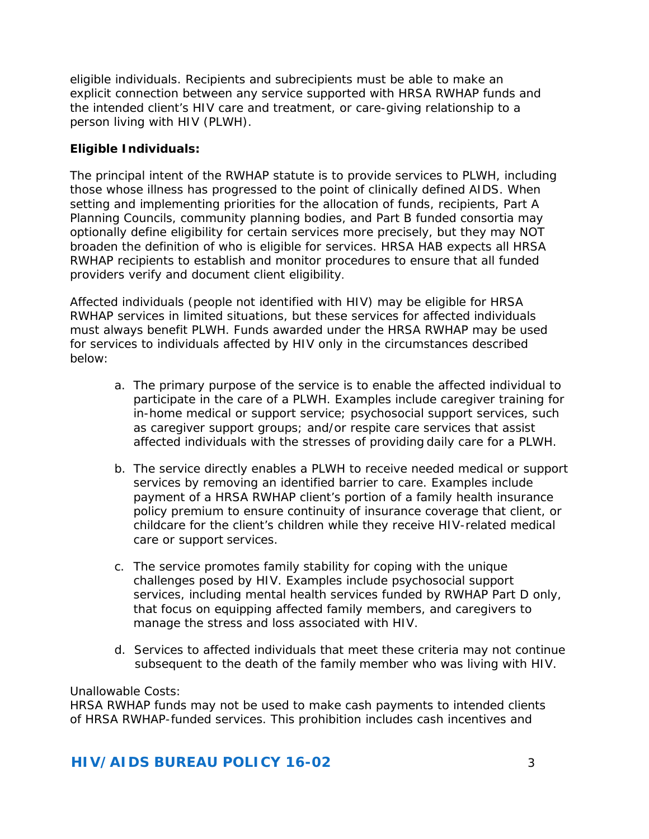eligible individuals. Recipients and subrecipients must be able to make an explicit connection between any service supported with HRSA RWHAP funds and the intended client's HIV care and treatment, or care-giving relationship to a person living with HIV (PLWH).

#### **Eligible Individuals:**

The principal intent of the RWHAP statute is to provide services to PLWH, including those whose illness has progressed to the point of clinically defined AIDS. When setting and implementing priorities for the allocation of funds, recipients, Part A Planning Councils, community planning bodies, and Part B funded consortia may optionally define eligibility for certain services more precisely, but they may NOT broaden the definition of who is eligible for services. HRSA HAB expects all HRSA RWHAP recipients to establish and monitor procedures to ensure that all funded providers verify and document client eligibility.

Affected individuals (people not identified with HIV) may be eligible for HRSA RWHAP services in limited situations, but these services for affected individuals must always benefit PLWH. Funds awarded under the HRSA RWHAP may be used for services to individuals affected by HIV only in the circumstances described below:

- a. The primary purpose of the service is to enable the affected individual to participate in the care of a PLWH. Examples include caregiver training for in-home medical or support service; psychosocial support services, such as caregiver support groups; and/or respite care services that assist affected individuals with the stresses of providing daily care for a PLWH.
- b. The service directly enables a PLWH to receive needed medical or support services by removing an identified barrier to care. Examples include payment of a HRSA RWHAP client's portion of a family health insurance policy premium to ensure continuity of insurance coverage that client, or childcare for the client's children while they receive HIV-related medical care or support services.
- c. The service promotes family stability for coping with the unique challenges posed by HIV. Examples include psychosocial support services, including mental health services funded by RWHAP Part D only, that focus on equipping affected family members, and caregivers to manage the stress and loss associated with HIV.
- d. Services to affected individuals that meet these criteria may not continue subsequent to the death of the family member who was living with HIV.

#### Unallowable Costs:

HRSA RWHAP funds may not be used to make cash payments to intended clients of HRSA RWHAP-funded services. This prohibition includes cash incentives and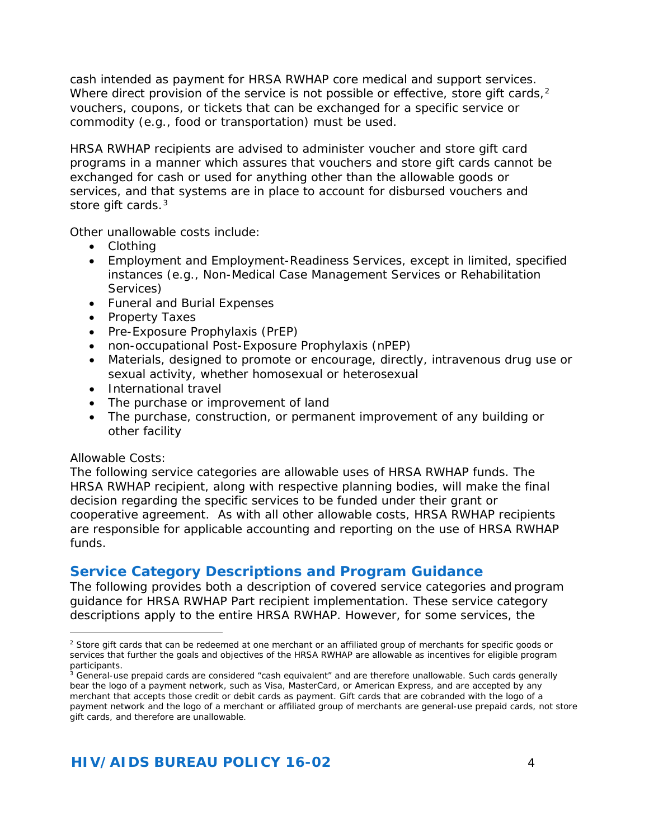<span id="page-3-0"></span>cash intended as payment for HRSA RWHAP core medical and support services. Where direct provision of the service is not possible or effective, store gift cards,<sup>2</sup> vouchers, coupons, or tickets that can be exchanged for a specific service or commodity (e.g., food or transportation) must be used.

HRSA RWHAP recipients are advised to administer voucher and store gift card programs in a manner which assures that vouchers and store gift cards cannot be exchanged for cash or used for anything other than the allowable goods or services, and that systems are in place to account for disbursed vouchers and store gift cards.<sup>[3](#page-3-2)</sup>

Other unallowable costs include:

- Clothing
- Employment and Employment-Readiness Services, except in limited, specified instances (e.g., Non-Medical Case Management Services or Rehabilitation Services)
- Funeral and Burial Expenses
- Property Taxes
- Pre-Exposure Prophylaxis (PrEP)
- non-occupational Post-Exposure Prophylaxis (nPEP)
- Materials, designed to promote or encourage, directly, intravenous drug use or sexual activity, whether homosexual or heterosexual
- International travel
- The purchase or improvement of land
- The purchase, construction, or permanent improvement of any building or other facility

#### Allowable Costs:

The following service categories are allowable uses of HRSA RWHAP funds. The HRSA RWHAP recipient, along with respective planning bodies, will make the final decision regarding the specific services to be funded under their grant or cooperative agreement. As with all other allowable costs, HRSA RWHAP recipients are responsible for applicable accounting and reporting on the use of HRSA RWHAP funds.

# **Service Category Descriptions and Program Guidance**

The following provides both a description of covered service categories and program guidance for HRSA RWHAP Part recipient implementation. These service category descriptions apply to the entire HRSA RWHAP. However, for some services, the

<span id="page-3-1"></span><sup>1</sup> <sup>2</sup> Store gift cards that can be redeemed at one merchant or an affiliated group of merchants for specific goods or services that further the goals and objectives of the HRSA RWHAP are allowable as incentives for eligible program participants.

<span id="page-3-2"></span><sup>&</sup>lt;sup>3</sup> General-use prepaid cards are considered "cash equivalent" and are therefore unallowable. Such cards generally bear the logo of a payment network, such as Visa, MasterCard, or American Express, and are accepted by any merchant that accepts those credit or debit cards as payment. Gift cards that are cobranded with the logo of a payment network and the logo of a merchant or affiliated group of merchants are general-use prepaid cards, not store gift cards, and therefore are unallowable.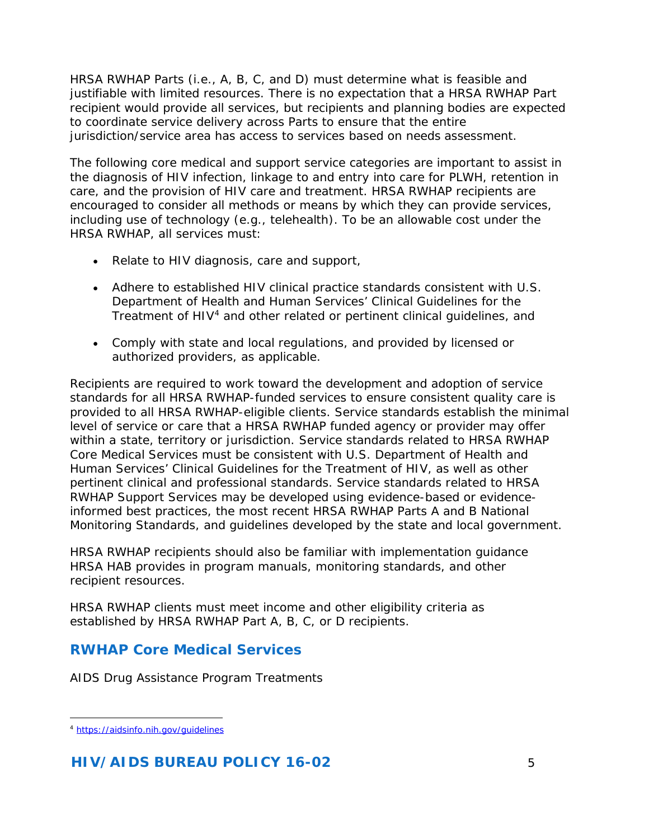HRSA RWHAP Parts (i.e., A, B, C, and D) must determine what is feasible and justifiable with limited resources. There is no expectation that a HRSA RWHAP Part recipient would provide all services, but recipients and planning bodies are expected to coordinate service delivery across Parts to ensure that the entire jurisdiction/service area has access to services based on needs assessment.

The following core medical and support service categories are important to assist in the diagnosis of HIV infection, linkage to and entry into care for PLWH, retention in care, and the provision of HIV care and treatment. HRSA RWHAP recipients are encouraged to consider all methods or means by which they can provide services, including use of technology (e.g., telehealth). To be an allowable cost under the HRSA RWHAP, all services must:

- Relate to HIV diagnosis, care and support,
- Adhere to established HIV clinical practice standards consistent with U.S. Department of Health and Human Services' Clinical Guidelines for the Treatment of HIV[4](#page-4-0) and other related or pertinent clinical guidelines, and
- Comply with state and local regulations, and provided by licensed or authorized providers, as applicable.

Recipients are required to work toward the development and adoption of service standards for all HRSA RWHAP-funded services to ensure consistent quality care is provided to all HRSA RWHAP-eligible clients. Service standards establish the minimal level of service or care that a HRSA RWHAP funded agency or provider may offer within a state, territory or jurisdiction. Service standards related to HRSA RWHAP Core Medical Services must be consistent with U.S. Department of Health and Human Services' Clinical Guidelines for the Treatment of HIV, as well as other pertinent clinical and professional standards. Service standards related to HRSA RWHAP Support Services may be developed using evidence-based or evidenceinformed best practices, the most recent HRSA RWHAP Parts A and B National Monitoring Standards, and guidelines developed by the state and local government.

HRSA RWHAP recipients should also be familiar with implementation guidance HRSA HAB provides in program manuals, monitoring standards, and other recipient resources.

HRSA RWHAP clients must meet income and other eligibility criteria as established by HRSA RWHAP Part A, B, C, or D recipients.

# **RWHAP Core Medical Services**

[AIDS Drug Assistance Program Treatments](#page-7-0) 

<span id="page-4-0"></span><sup>1</sup> <sup>4</sup> <https://aidsinfo.nih.gov/guidelines>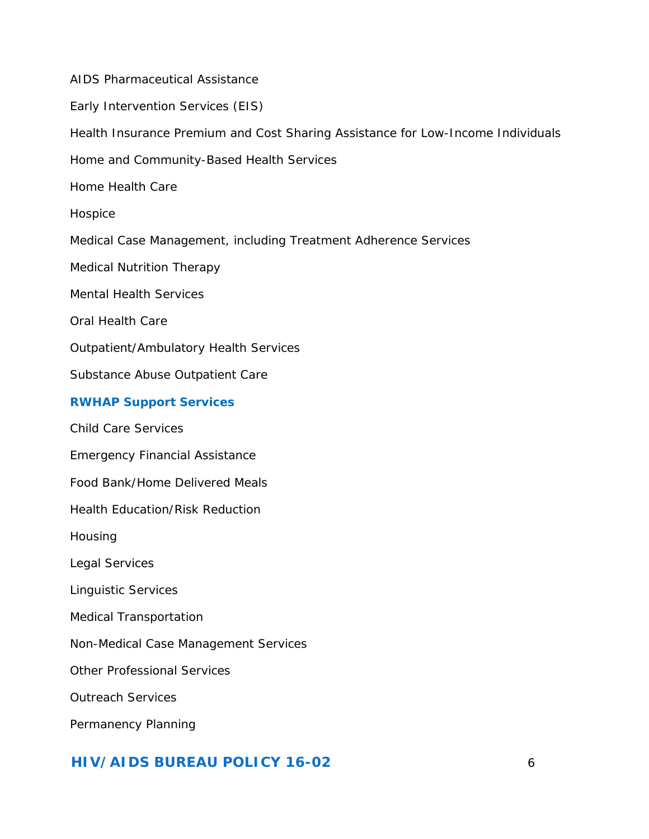[AIDS Pharmaceutical Assistance](#page-7-1) [Early Intervention Services \(EIS\)](#page-9-0) [Health Insurance Premium and Cost Sharing Assistance for Low-Income Individuals](#page-10-0)  [Home and Community-Based Health Services](#page-10-1) [Home Health Care](#page-11-0)  [Hospice](#page-17-0) [Medical Case Management, including Treatment Adherence Services](#page-12-0) [Medical Nutrition Therapy](#page-13-0) [Mental Health Services](#page-14-0) [Oral Health Care](#page-14-1) [Outpatient/Ambulatory Health Services](#page-14-2) [Substance Abuse Outpatient Care](#page-15-0) **RWHAP Support Services** [Child Care Services](#page-16-0) [Emergency Financial Assistance](#page-16-1)  [Food Bank/Home Delivered Meals](#page-16-2) [Health Education/Risk Reduction](#page-17-1)  [Housing](#page-17-0) [Legal Services](#page-18-0) [Linguistic Services](#page-18-1) [Medical Transportation](#page-18-2) [Non-Medical Case Management Services](#page-19-0)  [Other Professional Services](#page-20-0) [Outreach Services](#page-21-0) [Permanency Planning](#page-22-0)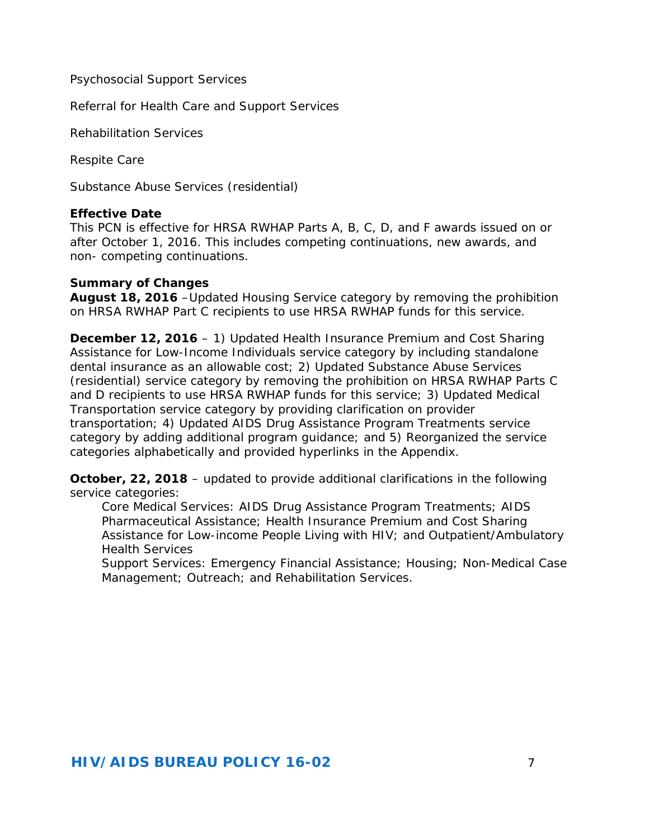[Psychosocial Support Services](#page-22-1)

[Referral for Health Care and Support Services](#page-23-0)

[Rehabilitation Services](#page-22-2)

[Respite Care](#page-23-1)

[Substance Abuse Services \(residential\)](#page-24-0)

#### **Effective Date**

This PCN is effective for HRSA RWHAP Parts A, B, C, D, and F awards issued on or after October 1, 2016. This includes competing continuations, new awards, and non- competing continuations.

#### **Summary of Changes**

**August 18, 2016** –Updated *Housing Service* category by removing the prohibition on HRSA RWHAP Part C recipients to use HRSA RWHAP funds for this service.

**December 12, 2016** – 1) Updated *Health Insurance Premium and Cost Sharing Assistance for Low-Income Individuals* service category by including standalone dental insurance as an allowable cost; 2) Updated *Substance Abuse Services (residential)* service category by removing the prohibition on HRSA RWHAP Parts C and D recipients to use HRSA RWHAP funds for this service; 3) Updated *Medical Transportation* service category by providing clarification on provider transportation; 4) Updated *AIDS Drug Assistance Program Treatments* service category by adding additional program guidance; and 5) Reorganized the service categories alphabetically and provided hyperlinks in the Appendix.

**October, 22, 2018** – updated to provide additional clarifications in the following service categories:

Core Medical Services: *AIDS Drug Assistance Program Treatments; AIDS Pharmaceutical Assistance; Health Insurance Premium and Cost Sharing Assistance for Low-income People Living with HIV; and Outpatient/Ambulatory Health Services* 

Support Services: *Emergency Financial Assistance; Housing; Non-Medical Case Management; Outreach; and Rehabilitation Services*.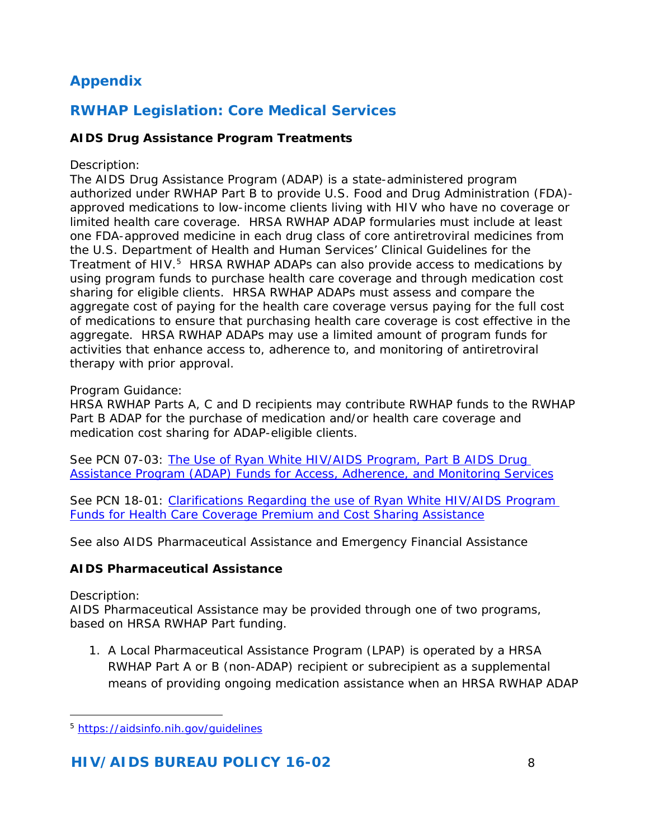# **Appendix**

# *RWHAP Legislation: Core Medical Services*

## <span id="page-7-0"></span>**AIDS Drug Assistance Program Treatments**

#### *Description:*

The AIDS Drug Assistance Program (ADAP) is a state-administered program authorized under RWHAP Part B to provide U.S. Food and Drug Administration (FDA) approved medications to low-income clients living with HIV who have no coverage or limited health care coverage. HRSA RWHAP ADAP formularies must include at least one FDA-approved medicine in each drug class of core antiretroviral medicines from the U.S. Department of Health and Human Services' Clinical Guidelines for the Treatment of HIV.<sup>[5](#page-7-2)</sup> HRSA RWHAP ADAPs can also provide access to medications by using program funds to purchase health care coverage and through medication cost sharing for eligible clients. HRSA RWHAP ADAPs must assess and compare the aggregate cost of paying for the health care coverage versus paying for the full cost of medications to ensure that purchasing health care coverage is cost effective in the aggregate. HRSA RWHAP ADAPs may use a limited amount of program funds for activities that enhance access to, adherence to, and monitoring of antiretroviral therapy with prior approval.

#### *Program Guidance:*

HRSA RWHAP Parts A, C and D recipients may contribute RWHAP funds to the RWHAP Part B ADAP for the purchase of medication and/or health care coverage and medication cost sharing for ADAP-eligible clients.

*See* PCN 07-03: [The Use of Ryan White HIV/AIDS Program, Part B AIDS Drug](http://hab.hrsa.gov/manageyourgrant/files/useadapaccesspn0703.pdf)  [Assistance Program \(ADAP\) Funds for Access, Adherence, and Monitoring Services](http://hab.hrsa.gov/manageyourgrant/files/useadapaccesspn0703.pdf)

See PCN 18-01: Clarifications Regarding the use of Ryan White HIV/AIDS Program [Funds for Health Care Coverage Premium and Cost Sharing Assistance](https://hab.hrsa.gov/sites/default/files/hab/program-grants-management/18-01-use-of-rwhap-funds-for-premium-and-cost-sharing-assistance.pdf)

*See also* AIDS Pharmaceutical Assistance and Emergency Financial Assistance

## <span id="page-7-1"></span>**AIDS Pharmaceutical Assistance**

#### *Description:*

AIDS Pharmaceutical Assistance may be provided through one of two programs, based on HRSA RWHAP Part funding.

1. A Local Pharmaceutical Assistance Program (LPAP) is operated by a HRSA RWHAP Part A or B (non-ADAP) recipient or subrecipient as a supplemental means of providing ongoing medication assistance when an HRSA RWHAP ADAP

<span id="page-7-2"></span>l <sup>5</sup> <https://aidsinfo.nih.gov/guidelines>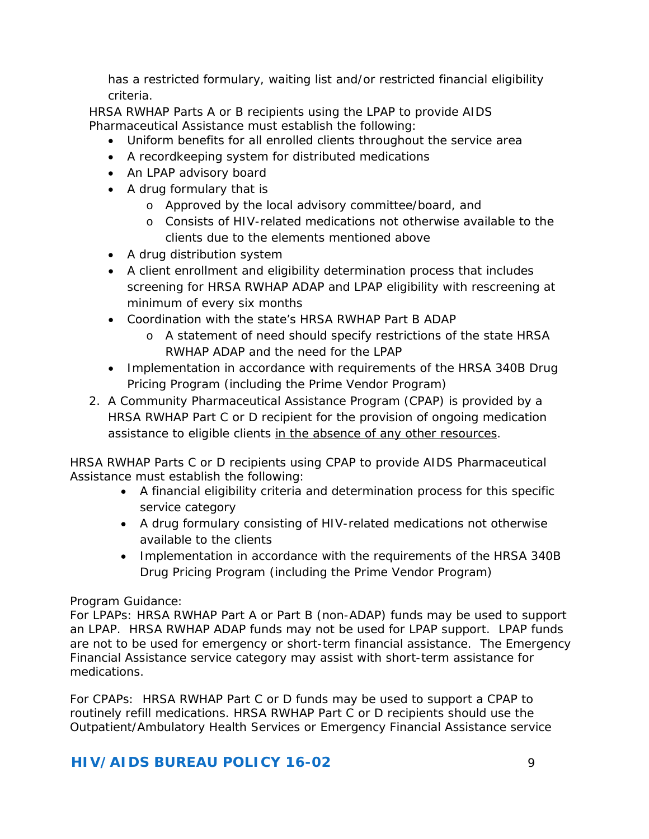has a restricted formulary, waiting list and/or restricted financial eligibility criteria.

HRSA RWHAP Parts A or B recipients using the LPAP to provide AIDS Pharmaceutical Assistance must establish the following:

- Uniform benefits for all enrolled clients throughout the service area
- A recordkeeping system for distributed medications
- An LPAP advisory board
- A drug formulary that is
	- o Approved by the local advisory committee/board, and
	- o Consists of HIV-related medications not otherwise available to the clients due to the elements mentioned above
- A drug distribution system
- A client enrollment and eligibility determination process that includes screening for HRSA RWHAP ADAP and LPAP eligibility with rescreening at minimum of every six months
- Coordination with the state's HRSA RWHAP Part B ADAP
	- o A statement of need should specify restrictions of the state HRSA RWHAP ADAP and the need for the LPAP
- Implementation in accordance with requirements of the HRSA 340B Drug Pricing Program (including the Prime Vendor Program)
- 2. A Community Pharmaceutical Assistance Program (CPAP) is provided by a HRSA RWHAP Part C or D recipient for the provision of ongoing medication assistance to eligible clients in the absence of any other resources.

HRSA RWHAP Parts C or D recipients using CPAP to provide AIDS Pharmaceutical Assistance must establish the following:

- A financial eligibility criteria and determination process for this specific service category
- A drug formulary consisting of HIV-related medications not otherwise available to the clients
- Implementation in accordance with the requirements of the HRSA 340B Drug Pricing Program (including the Prime Vendor Program)

## *Program Guidance:*

For LPAPs: HRSA RWHAP Part A or Part B (non-ADAP) funds may be used to support an LPAP. HRSA RWHAP ADAP funds may not be used for LPAP support. LPAP funds are not to be used for emergency or short-term financial assistance. The Emergency Financial Assistance service category may assist with short-term assistance for medications.

For CPAPs: HRSA RWHAP Part C or D funds may be used to support a CPAP to routinely refill medications. HRSA RWHAP Part C or D recipients should use the Outpatient/Ambulatory Health Services or Emergency Financial Assistance service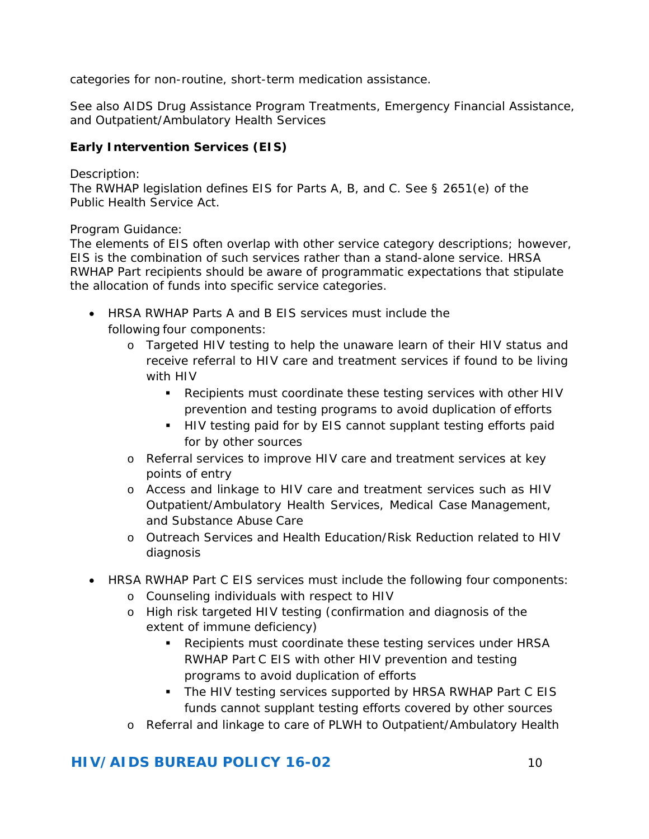categories for non-routine, short-term medication assistance.

*See also* AIDS Drug Assistance Program Treatments, Emergency Financial Assistance, and Outpatient/Ambulatory Health Services

## <span id="page-9-0"></span>**Early Intervention Services (EIS)**

#### *Description:*

The RWHAP legislation defines EIS for Parts A, B, and C. See § 2651(e) of the Public Health Service Act.

#### *Program Guidance:*

The elements of EIS often overlap with other service category descriptions; however, EIS is the combination of such services rather than a stand-alone service. HRSA RWHAP Part recipients should be aware of programmatic expectations that stipulate the allocation of funds into specific service categories.

- HRSA RWHAP Parts A and B EIS services must include the following four components:
	- o Targeted HIV testing to help the unaware learn of their HIV status and receive referral to HIV care and treatment services if found to be living with HIV
		- Recipients must coordinate these testing services with other HIV prevention and testing programs to avoid duplication of efforts
		- **HIV testing paid for by EIS cannot supplant testing efforts paid** for by other sources
	- o Referral services to improve HIV care and treatment services at key points of entry
	- o Access and linkage to HIV care and treatment services such as HIV Outpatient/Ambulatory Health Services, Medical Case Management, and Substance Abuse Care
	- o Outreach Services and Health Education/Risk Reduction related to HIV diagnosis
- HRSA RWHAP Part C EIS services must include the following four components:
	- o Counseling individuals with respect to HIV
	- o High risk targeted HIV testing (confirmation and diagnosis of the extent of immune deficiency)
		- Recipients must coordinate these testing services under HRSA RWHAP Part C EIS with other HIV prevention and testing programs to avoid duplication of efforts
		- The HIV testing services supported by HRSA RWHAP Part C EIS funds cannot supplant testing efforts covered by other sources
	- o Referral and linkage to care of PLWH to Outpatient/Ambulatory Health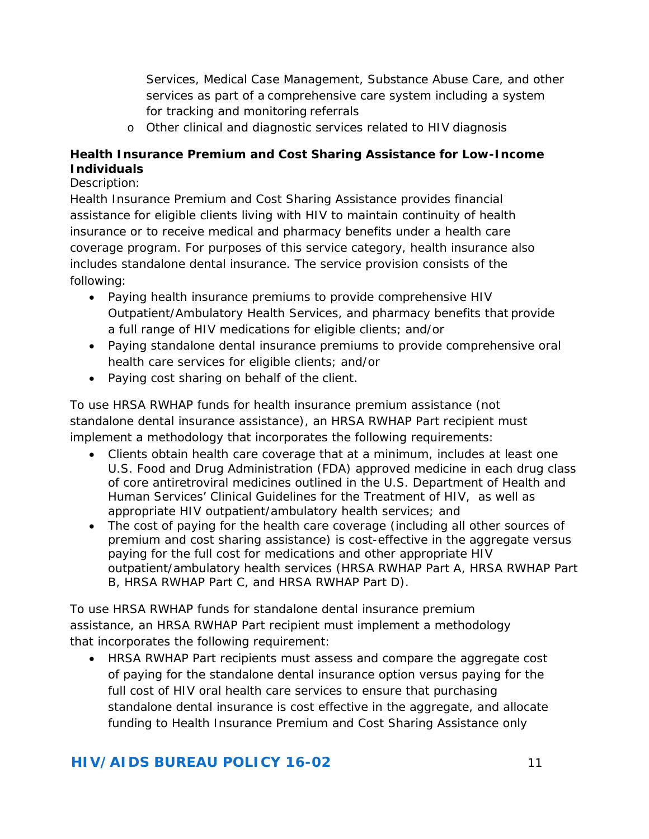Services, Medical Case Management, Substance Abuse Care, and other services as part of a comprehensive care system including a system for tracking and monitoring referrals

o Other clinical and diagnostic services related to HIV diagnosis

## <span id="page-10-0"></span>**Health Insurance Premium and Cost Sharing Assistance for Low-Income Individuals**

#### <span id="page-10-1"></span>*Description:*

Health Insurance Premium and Cost Sharing Assistance provides financial assistance for eligible clients living with HIV to maintain continuity of health insurance or to receive medical and pharmacy benefits under a health care coverage program. For purposes of this service category, health insurance also includes standalone dental insurance. The service provision consists of the following:

- Paying health insurance premiums to provide comprehensive HIV Outpatient/Ambulatory Health Services, and pharmacy benefits that provide a full range of HIV medications for eligible clients; and/or
- Paying standalone dental insurance premiums to provide comprehensive oral health care services for eligible clients; and/or
- Paying cost sharing on behalf of the client.

To use HRSA RWHAP funds for health insurance premium assistance (not standalone dental insurance assistance), an HRSA RWHAP Part recipient must implement a methodology that incorporates the following requirements:

- Clients obtain health care coverage that at a minimum, includes at least one U.S. Food and Drug Administration (FDA) approved medicine in each drug class of core antiretroviral medicines outlined in the U.S. Department of Health and Human Services' Clinical Guidelines for the Treatment of HIV, as well as appropriate HIV outpatient/ambulatory health services; and
- The cost of paying for the health care coverage (including all other sources of premium and cost sharing assistance) is cost-effective in the aggregate versus paying for the full cost for medications and other appropriate HIV outpatient/ambulatory health services (HRSA RWHAP Part A, HRSA RWHAP Part B, HRSA RWHAP Part C, and HRSA RWHAP Part D).

To use HRSA RWHAP funds for standalone dental insurance premium assistance, an HRSA RWHAP Part recipient must implement a methodology that incorporates the following requirement:

• HRSA RWHAP Part recipients must assess and compare the aggregate cost of paying for the standalone dental insurance option versus paying for the full cost of HIV oral health care services to ensure that purchasing standalone dental insurance is cost effective in the aggregate, and allocate funding to Health Insurance Premium and Cost Sharing Assistance only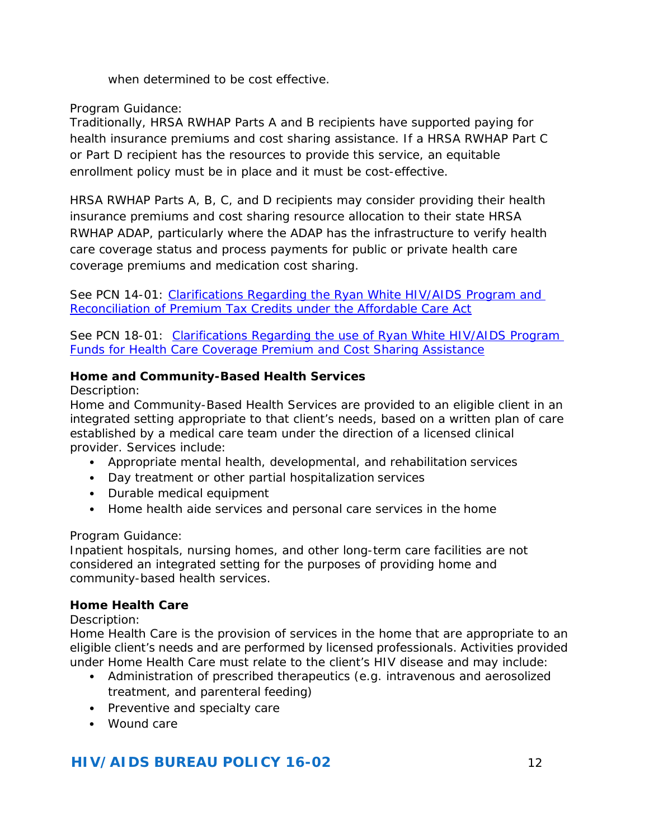when determined to be cost effective.

#### *Program Guidance:*

Traditionally, HRSA RWHAP Parts A and B recipients have supported paying for health insurance premiums and cost sharing assistance. If a HRSA RWHAP Part C or Part D recipient has the resources to provide this service, an equitable enrollment policy must be in place and it must be cost-effective.

HRSA RWHAP Parts A, B, C, and D recipients may consider providing their health insurance premiums and cost sharing resource allocation to their state HRSA RWHAP ADAP, particularly where the ADAP has the infrastructure to verify health care coverage status and process payments for public or private health care coverage premiums and medication cost sharing.

*See* PCN 14-01: [Clarifications Regarding the Ryan White HIV/AIDS](http://hab.hrsa.gov/healthcarelandscape/1401policyclarification.pdf) [Program and](http://hab.hrsa.gov/healthcarelandscape/1401policyclarification.pdf)  [Reconciliation of Premium Tax Credits under the Affordable Care Act](http://hab.hrsa.gov/healthcarelandscape/1401policyclarification.pdf)

*See* PCN 18-01: [Clarifications Regarding the use of Ryan White HIV/AIDS Program](https://hab.hrsa.gov/sites/default/files/hab/program-grants-management/18-01-use-of-rwhap-funds-for-premium-and-cost-sharing-assistance.pdf)  [Funds for Health Care Coverage Premium and Cost Sharing Assistance](https://hab.hrsa.gov/sites/default/files/hab/program-grants-management/18-01-use-of-rwhap-funds-for-premium-and-cost-sharing-assistance.pdf)

#### **Home and Community-Based Health Services**

#### *Description:*

Home and Community-Based Health Services are provided to an eligible client in an integrated setting appropriate to that client's needs, based on a written plan of care established by a medical care team under the direction of a licensed clinical provider. Services include:

- Appropriate mental health, developmental, and rehabilitation services
- Day treatment or other partial hospitalization services
- Durable medical equipment
- Home health aide services and personal care services in the home

#### *Program Guidance:*

Inpatient hospitals, nursing homes, and other long-term care facilities are not considered an integrated setting for the purposes of providing home and community-based health services.

#### <span id="page-11-0"></span>**Home Health Care**

#### *Description:*

Home Health Care is the provision of services in the home that are appropriate to an eligible client's needs and are performed by licensed professionals. Activities provided under Home Health Care must relate to the client's HIV disease and may include:

- Administration of prescribed therapeutics (e.g. intravenous and aerosolized treatment, and parenteral feeding)
- Preventive and specialty care
- Wound care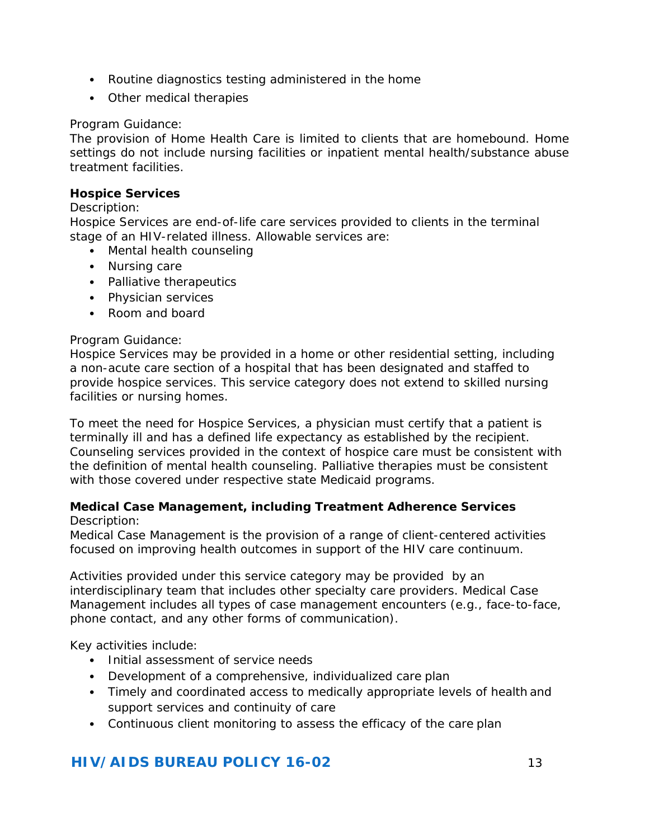- Routine diagnostics testing administered in the home
- Other medical therapies

#### *Program Guidance:*

The provision of Home Health Care is limited to clients that are homebound. Home settings do not include nursing facilities or inpatient mental health/substance abuse treatment facilities.

#### **Hospice Services**

#### *Description:*

Hospice Services are end-of-life care services provided to clients in the terminal stage of an HIV-related illness. Allowable services are:

- Mental health counseling
- Nursing care
- Palliative therapeutics
- Physician services
- Room and board

#### *Program Guidance:*

Hospice Services may be provided in a home or other residential setting, including a non-acute care section of a hospital that has been designated and staffed to provide hospice services. This service category does not extend to skilled nursing facilities or nursing homes.

To meet the need for Hospice Services, a physician must certify that a patient is terminally ill and has a defined life expectancy as established by the recipient. Counseling services provided in the context of hospice care must be consistent with the definition of mental health counseling. Palliative therapies must be consistent with those covered under respective state Medicaid programs.

#### <span id="page-12-0"></span>**Medical Case Management, including Treatment Adherence Services** *Description:*

Medical Case Management is the provision of a range of client-centered activities focused on improving health outcomes in support of the HIV care continuum.

Activities provided under this service category may be provided by an interdisciplinary team that includes other specialty care providers. Medical Case Management includes all types of case management encounters (e.g., face-to-face, phone contact, and any other forms of communication).

Key activities include:

- Initial assessment of service needs
- Development of a comprehensive, individualized care plan
- Timely and coordinated access to medically appropriate levels of health and support services and continuity of care
- Continuous client monitoring to assess the efficacy of the care plan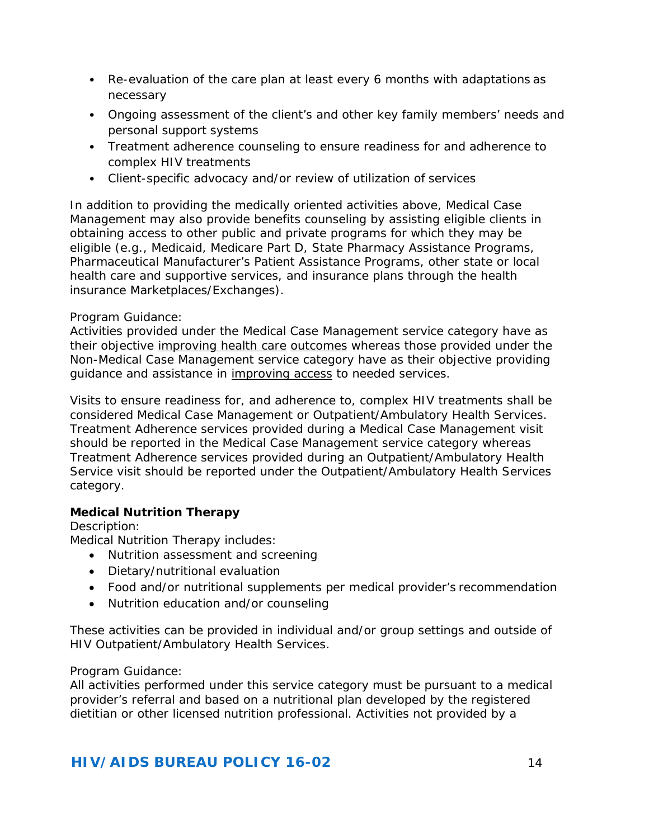- Re-evaluation of the care plan at least every 6 months with adaptations as necessary
- Ongoing assessment of the client's and other key family members' needs and personal support systems
- Treatment adherence counseling to ensure readiness for and adherence to complex HIV treatments
- Client-specific advocacy and/or review of utilization of services

In addition to providing the medically oriented activities above, Medical Case Management may also provide benefits counseling by assisting eligible clients in obtaining access to other public and private programs for which they may be eligible (e.g., Medicaid, Medicare Part D, State Pharmacy Assistance Programs, Pharmaceutical Manufacturer's Patient Assistance Programs, other state or local health care and supportive services, and insurance plans through the health insurance Marketplaces/Exchanges).

## *Program Guidance:*

Activities provided under the Medical Case Management service category have as their objective improving health care outcomes whereas those provided under the Non-Medical Case Management service category have as their objective providing guidance and assistance in improving access to needed services.

Visits to ensure readiness for, and adherence to, complex HIV treatments shall be considered Medical Case Management or Outpatient/Ambulatory Health Services. Treatment Adherence services provided during a Medical Case Management visit should be reported in the Medical Case Management service category whereas Treatment Adherence services provided during an Outpatient/Ambulatory Health Service visit should be reported under the Outpatient/Ambulatory Health Services category.

## <span id="page-13-0"></span>**Medical Nutrition Therapy**

#### *Description:*

Medical Nutrition Therapy includes:

- Nutrition assessment and screening
- Dietary/nutritional evaluation
- Food and/or nutritional supplements per medical provider's recommendation
- Nutrition education and/or counseling

These activities can be provided in individual and/or group settings and outside of HIV Outpatient/Ambulatory Health Services.

#### *Program Guidance:*

All activities performed under this service category must be pursuant to a medical provider's referral and based on a nutritional plan developed by the registered dietitian or other licensed nutrition professional. Activities not provided by a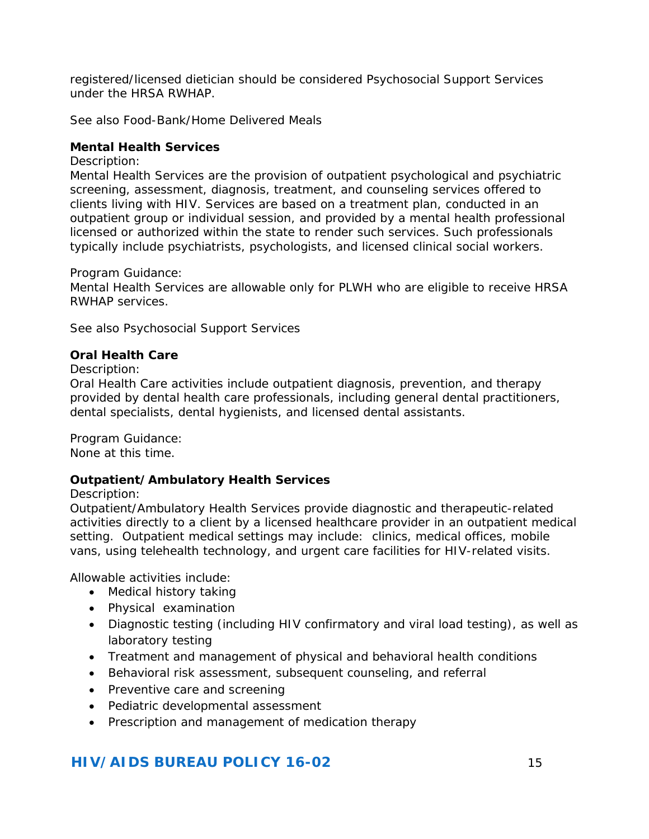registered/licensed dietician should be considered Psychosocial Support Services under the HRSA RWHAP.

*See also* Food-Bank/Home Delivered Meals

#### <span id="page-14-0"></span>**Mental Health Services**

#### *Description:*

Mental Health Services are the provision of outpatient psychological and psychiatric screening, assessment, diagnosis, treatment, and counseling services offered to clients living with HIV. Services are based on a treatment plan, conducted in an outpatient group or individual session, and provided by a mental health professional licensed or authorized within the state to render such services. Such professionals typically include psychiatrists, psychologists, and licensed clinical social workers.

#### *Program Guidance:*

Mental Health Services are allowable only for PLWH who are eligible to receive HRSA RWHAP services.

*See also* Psychosocial Support Services

#### <span id="page-14-1"></span>**Oral Health Care**

#### *Description:*

Oral Health Care activities include outpatient diagnosis, prevention, and therapy provided by dental health care professionals, including general dental practitioners, dental specialists, dental hygienists, and licensed dental assistants.

*Program Guidance:*

None at this time.

#### <span id="page-14-2"></span>**Outpatient/Ambulatory Health Services**

#### *Description:*

Outpatient/Ambulatory Health Services provide diagnostic and therapeutic-related activities directly to a client by a licensed healthcare provider in an outpatient medical setting. Outpatient medical settings may include: clinics, medical offices, mobile vans, using telehealth technology, and urgent care facilities for HIV-related visits.

Allowable activities include:

- Medical history taking
- Physical examination
- Diagnostic testing (including HIV confirmatory and viral load testing), as well as laboratory testing
- Treatment and management of physical and behavioral health conditions
- Behavioral risk assessment, subsequent counseling, and referral
- Preventive care and screening
- Pediatric developmental assessment
- Prescription and management of medication therapy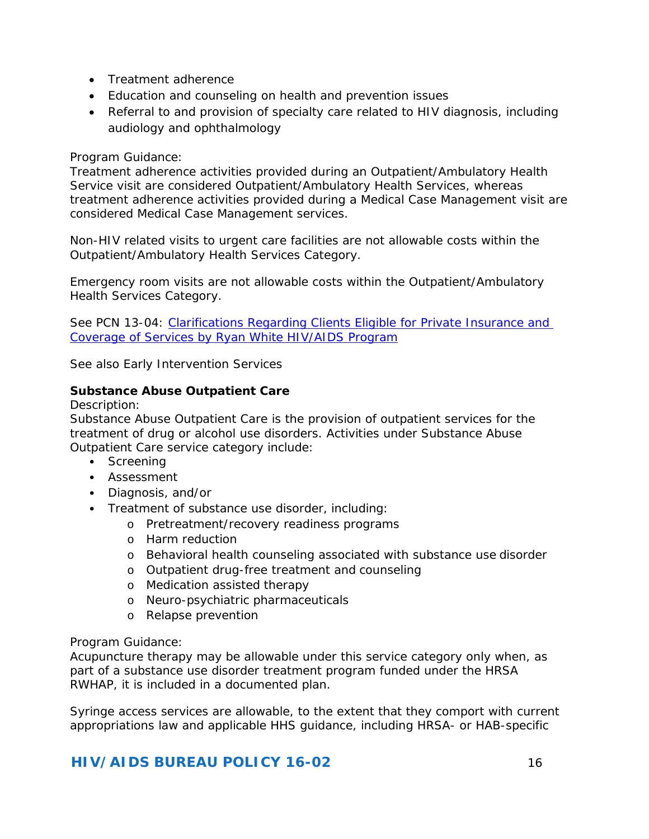- Treatment adherence
- Education and counseling on health and prevention issues
- Referral to and provision of specialty care related to HIV diagnosis, including audiology and ophthalmology

#### *Program Guidance:*

Treatment adherence activities provided during an Outpatient/Ambulatory Health Service visit are considered Outpatient/Ambulatory Health Services, whereas treatment adherence activities provided during a Medical Case Management visit are considered Medical Case Management services.

Non-HIV related visits to urgent care facilities are not allowable costs within the Outpatient/Ambulatory Health Services Category.

Emergency room visits are not allowable costs within the Outpatient/Ambulatory Health Services Category.

*See* PCN 13-04: [Clarifications Regarding Clients Eligible for Private Insurance and](https://hab.hrsa.gov/sites/default/files/hab/Global/pcn1304privateinsurance.pdf)  [Coverage of Services by Ryan White HIV/AIDS Program](https://hab.hrsa.gov/sites/default/files/hab/Global/pcn1304privateinsurance.pdf)

*See also* Early Intervention Services

#### <span id="page-15-0"></span>**Substance Abuse Outpatient Care**

#### *Description:*

Substance Abuse Outpatient Care is the provision of outpatient services for the treatment of drug or alcohol use disorders. Activities under Substance Abuse Outpatient Care service category include:

- Screening
- Assessment
- Diagnosis, and/or
- Treatment of substance use disorder, including:
	- o Pretreatment/recovery readiness programs
	- o Harm reduction
	- o Behavioral health counseling associated with substance use disorder
	- o Outpatient drug-free treatment and counseling
	- o Medication assisted therapy
	- o Neuro-psychiatric pharmaceuticals
	- o Relapse prevention

#### *Program Guidance:*

Acupuncture therapy may be allowable under this service category only when, as part of a substance use disorder treatment program funded under the HRSA RWHAP, it is included in a documented plan.

Syringe access services are allowable, to the extent that they comport with current appropriations law and applicable HHS guidance, including HRSA- or HAB-specific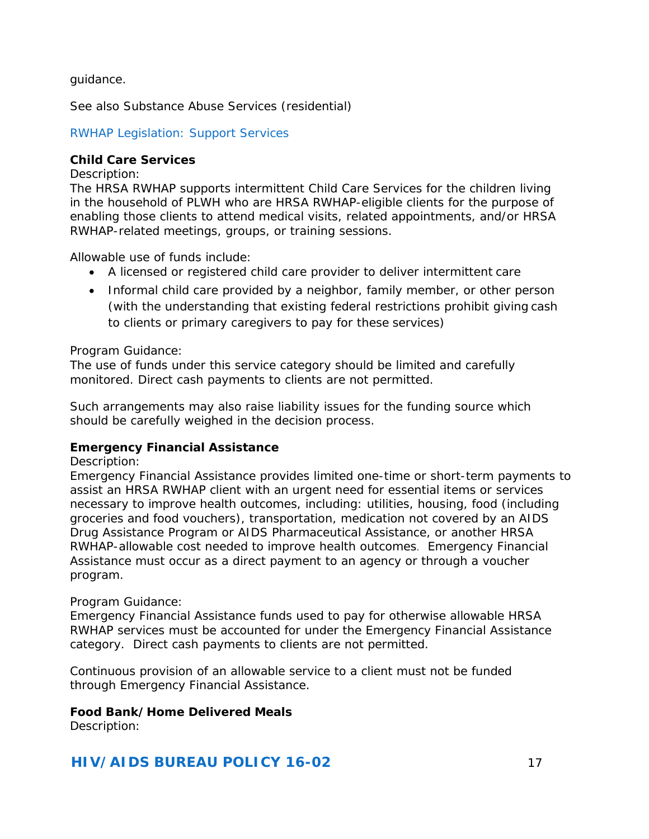guidance.

*See also* Substance Abuse Services (residential)

#### *RWHAP Legislation: Support Services*

#### <span id="page-16-0"></span>**Child Care Services**

#### *Description:*

The HRSA RWHAP supports intermittent Child Care Services for the children living in the household of PLWH who are HRSA RWHAP-eligible clients for the purpose of enabling those clients to attend medical visits, related appointments, and/or HRSA RWHAP-related meetings, groups, or training sessions.

Allowable use of funds include:

- A licensed or registered child care provider to deliver intermittent care
- Informal child care provided by a neighbor, family member, or other person (with the understanding that existing federal restrictions prohibit giving cash to clients or primary caregivers to pay for these services)

#### *Program Guidance:*

The use of funds under this service category should be limited and carefully monitored. Direct cash payments to clients are not permitted.

Such arrangements may also raise liability issues for the funding source which should be carefully weighed in the decision process.

#### <span id="page-16-1"></span>**Emergency Financial Assistance**

#### *Description:*

Emergency Financial Assistance provides limited one-time or short-term payments to assist an HRSA RWHAP client with an urgent need for essential items or services necessary to improve health outcomes, including: utilities, housing, food (including groceries and food vouchers), transportation, medication not covered by an AIDS Drug Assistance Program or AIDS Pharmaceutical Assistance, or another HRSA RWHAP-allowable cost needed to improve health outcomes. Emergency Financial Assistance must occur as a direct payment to an agency or through a voucher program.

#### *Program Guidance:*

Emergency Financial Assistance funds used to pay for otherwise allowable HRSA RWHAP services must be accounted for under the Emergency Financial Assistance category. Direct cash payments to clients are not permitted.

Continuous provision of an allowable service to a client must not be funded through Emergency Financial Assistance.

#### <span id="page-16-2"></span>**Food Bank/Home Delivered Meals**

*Description:*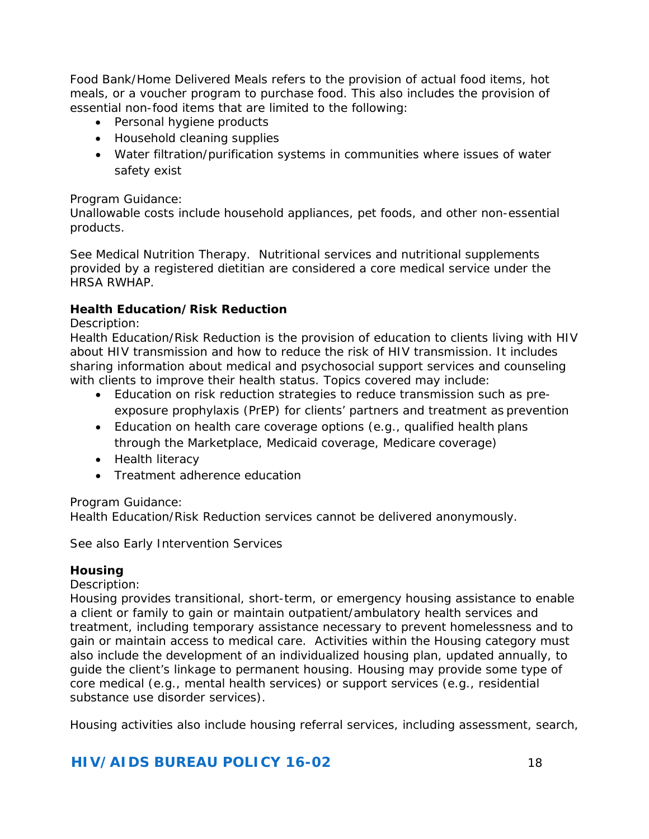Food Bank/Home Delivered Meals refers to the provision of actual food items, hot meals, or a voucher program to purchase food. This also includes the provision of essential non-food items that are limited to the following:

- Personal hygiene products
- Household cleaning supplies
- Water filtration/purification systems in communities where issues of water safety exist

#### *Program Guidance:*

Unallowable costs include household appliances, pet foods, and other non-essential products.

*See* Medical Nutrition Therapy. Nutritional services and nutritional supplements provided by a registered dietitian are considered a core medical service under the HRSA RWHAP.

#### <span id="page-17-1"></span>**Health Education/Risk Reduction**

*Description:*

Health Education/Risk Reduction is the provision of education to clients living with HIV about HIV transmission and how to reduce the risk of HIV transmission. It includes sharing information about medical and psychosocial support services and counseling with clients to improve their health status. Topics covered may include:

- Education on risk reduction strategies to reduce transmission such as preexposure prophylaxis (PrEP) for clients' partners and treatment as prevention
- Education on health care coverage options (e.g., qualified health plans through the Marketplace, Medicaid coverage, Medicare coverage)
- Health literacy
- Treatment adherence education

#### *Program Guidance:*

Health Education/Risk Reduction services cannot be delivered anonymously.

*See also* Early Intervention Services

#### <span id="page-17-0"></span>**Housing**

#### *Description:*

Housing provides transitional, short-term, or emergency housing assistance to enable a client or family to gain or maintain outpatient/ambulatory health services and treatment, including temporary assistance necessary to prevent homelessness and to gain or maintain access to medical care. Activities within the Housing category must also include the development of an individualized housing plan, updated annually, to guide the client's linkage to permanent housing. Housing may provide some type of core medical (e.g., mental health services) or support services (e.g., residential substance use disorder services).

Housing activities also include housing referral services, including assessment, search,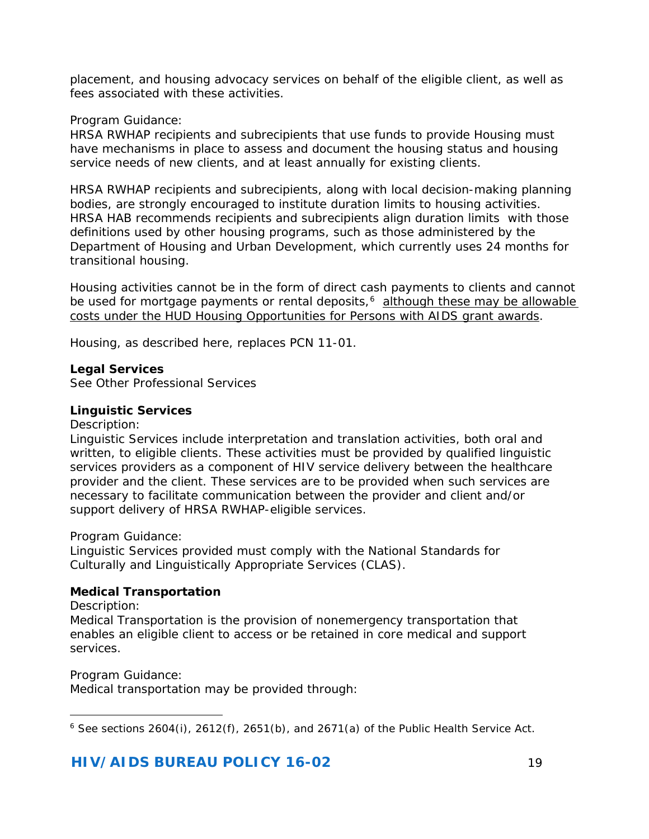placement, and housing advocacy services on behalf of the eligible client, as well as fees associated with these activities.

#### *Program Guidance:*

HRSA RWHAP recipients and subrecipients that use funds to provide Housing must have mechanisms in place to assess and document the housing status and housing service needs of new clients, and at least annually for existing clients.

HRSA RWHAP recipients and subrecipients, along with local decision-making planning bodies, are strongly encouraged to institute duration limits to housing activities. HRSA HAB recommends recipients and subrecipients align duration limits with those definitions used by other housing programs, such as those administered by the Department of Housing and Urban Development, which currently uses 24 months for transitional housing.

Housing activities cannot be in the form of direct cash payments to clients and cannot be used for mortgage payments or rental deposits,<sup>6</sup> although these may be allowable costs under the HUD Housing Opportunities for Persons with AIDS grant awards.

Housing, as described here, replaces PCN 11-01.

#### <span id="page-18-0"></span>**Legal Services**

*See* Other Professional Services

#### <span id="page-18-1"></span>**Linguistic Services**

#### *Description:*

Linguistic Services include interpretation and translation activities, both oral and written, to eligible clients. These activities must be provided by qualified linguistic services providers as a component of HIV service delivery between the healthcare provider and the client. These services are to be provided when such services are necessary to facilitate communication between the provider and client and/or support delivery of HRSA RWHAP-eligible services.

#### *Program Guidance:*

Linguistic Services provided must comply with the National Standards for Culturally and Linguistically Appropriate Services (CLAS).

#### <span id="page-18-2"></span>**Medical Transportation**

#### *Description:*

Medical Transportation is the provision of nonemergency transportation that enables an eligible client to access or be retained in core medical and support services.

#### *Program Guidance:*

Medical transportation may be provided through:

<span id="page-18-3"></span>l  $6$  See sections 2604(i), 2612(f), 2651(b), and 2671(a) of the Public Health Service Act.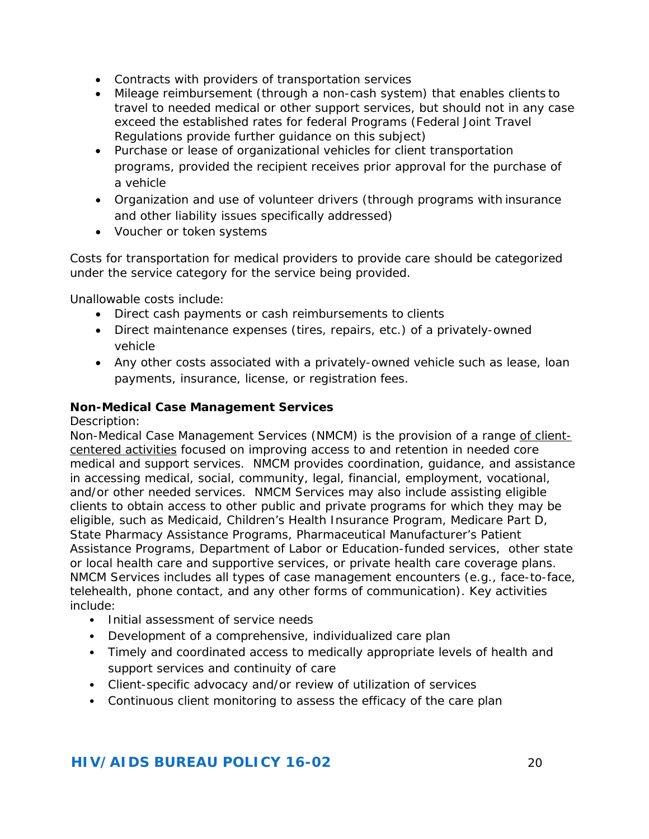- Contracts with providers of transportation services
- Mileage reimbursement (through a non-cash system) that enables clients to travel to needed medical or other support services, but should not in any case exceed the established rates for federal Programs (Federal Joint Travel Regulations provide further guidance on this subject)
- Purchase or lease of organizational vehicles for client transportation programs, provided the recipient receives prior approval for the purchase of a vehicle
- Organization and use of volunteer drivers (through programs with insurance and other liability issues specifically addressed)
- Voucher or token systems

Costs for transportation for medical providers to provide care should be categorized under the service category for the service being provided.

Unallowable costs include:

- Direct cash payments or cash reimbursements to clients
- Direct maintenance expenses (tires, repairs, etc.) of a privately-owned vehicle
- Any other costs associated with a privately-owned vehicle such as lease, loan payments, insurance, license, or registration fees.

#### <span id="page-19-0"></span>**Non-Medical Case Management Services**

*Description:*

Non-Medical Case Management Services (NMCM) is the provision of a range of clientcentered activities focused on improving access to and retention in needed core medical and support services. NMCM provides coordination, guidance, and assistance in accessing medical, social, community, legal, financial, employment, vocational, and/or other needed services. NMCM Services may also include assisting eligible clients to obtain access to other public and private programs for which they may be eligible, such as Medicaid, Children's Health Insurance Program, Medicare Part D, State Pharmacy Assistance Programs, Pharmaceutical Manufacturer's Patient Assistance Programs, Department of Labor or Education-funded services, other state or local health care and supportive services, or private health care coverage plans. NMCM Services includes all types of case management encounters (e.g., face-to-face, telehealth, phone contact, and any other forms of communication). Key activities include:

- Initial assessment of service needs
- Development of a comprehensive, individualized care plan
- Timely and coordinated access to medically appropriate levels of health and support services and continuity of care
- Client-specific advocacy and/or review of utilization of services
- Continuous client monitoring to assess the efficacy of the care plan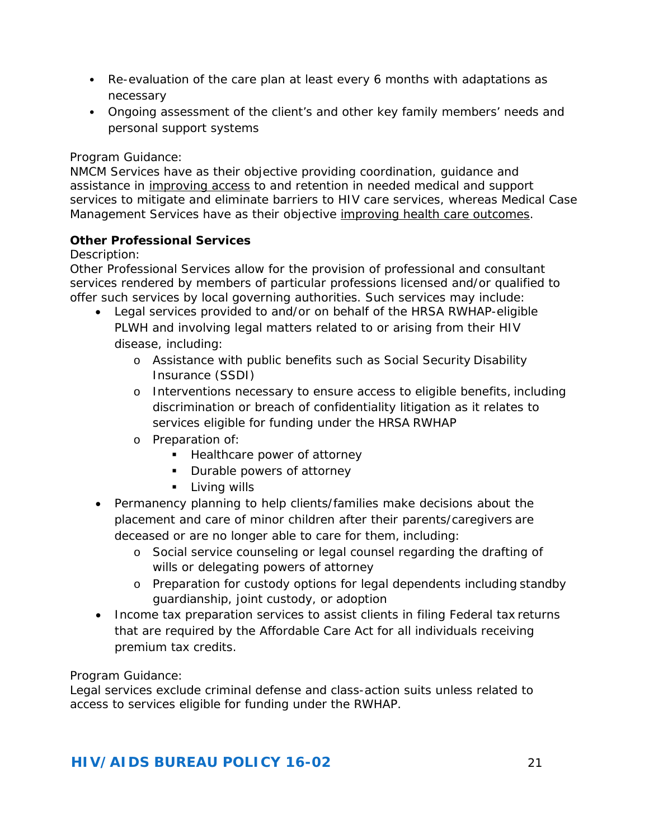- Re-evaluation of the care plan at least every 6 months with adaptations as necessary
- Ongoing assessment of the client's and other key family members' needs and personal support systems

#### *Program Guidance:*

NMCM Services have as their objective providing coordination, guidance and assistance in *improving access* to and retention in needed medical and support services to mitigate and eliminate barriers to HIV care services, whereas Medical Case Management Services have as their objective improving health care outcomes.

## **Other Professional Services**

#### *Description:*

Other Professional Services allow for the provision of professional and consultant services rendered by members of particular professions licensed and/or qualified to offer such services by local governing authorities. Such services may include:

- <span id="page-20-0"></span>• Legal services provided to and/or on behalf of the HRSA RWHAP-eligible PLWH and involving legal matters related to or arising from their HIV disease, including:
	- o Assistance with public benefits such as Social Security Disability Insurance (SSDI)
	- o Interventions necessary to ensure access to eligible benefits, including discrimination or breach of confidentiality litigation as it relates to services eligible for funding under the HRSA RWHAP
	- o Preparation of:
		- **Healthcare power of attorney**
		- **Durable powers of attorney**
		- **Living wills**
- Permanency planning to help clients/families make decisions about the placement and care of minor children after their parents/caregivers are deceased or are no longer able to care for them, including:
	- o Social service counseling or legal counsel regarding the drafting of wills or delegating powers of attorney
	- o Preparation for custody options for legal dependents including standby guardianship, joint custody, or adoption
- Income tax preparation services to assist clients in filing Federal tax returns that are required by the Affordable Care Act for all individuals receiving premium tax credits.

## *Program Guidance:*

Legal services exclude criminal defense and class-action suits unless related to access to services eligible for funding under the RWHAP.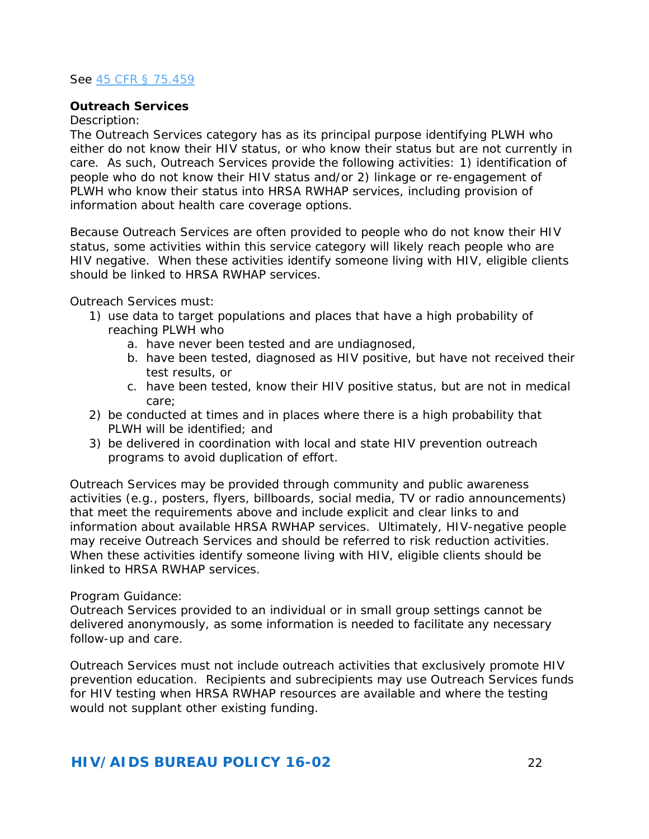#### *See* [45 CFR § 75.459](http://webapps.dol.gov/federalregister/PdfDisplay.aspx?DocId=27995)

#### <span id="page-21-0"></span>**Outreach Services**

#### *Description:*

The Outreach Services category has as its principal purpose identifying PLWH who either do not know their HIV status, or who know their status but are not currently in care. As such, Outreach Services provide the following activities: 1) identification of people who do not know their HIV status and/or 2) linkage or re-engagement of PLWH who know their status into HRSA RWHAP services, including provision of information about health care coverage options.

Because Outreach Services are often provided to people who do not know their HIV status, some activities within this service category will likely reach people who are HIV negative. When these activities identify someone living with HIV, eligible clients should be linked to HRSA RWHAP services.

Outreach Services must:

- 1) use data to target populations and places that have a high probability of reaching PLWH who
	- a. have never been tested and are undiagnosed,
	- b. have been tested, diagnosed as HIV positive, but have not received their test results, or
	- c. have been tested, know their HIV positive status, but are not in medical care;
- 2) be conducted at times and in places where there is a high probability that PLWH will be identified; and
- 3) be delivered in coordination with local and state HIV prevention outreach programs to avoid duplication of effort.

Outreach Services may be provided through community and public awareness activities (e.g., posters, flyers, billboards, social media, TV or radio announcements) that meet the requirements above and include explicit and clear links to and information about available HRSA RWHAP services. Ultimately, HIV-negative people may receive Outreach Services and should be referred to risk reduction activities. When these activities identify someone living with HIV, eligible clients should be linked to HRSA RWHAP services.

#### *Program Guidance:*

Outreach Services provided to an individual or in small group settings cannot be delivered anonymously, as some information is needed to facilitate any necessary follow-up and care.

Outreach Services must not include outreach activities that exclusively promote HIV prevention education. Recipients and subrecipients may use Outreach Services funds for HIV testing when HRSA RWHAP resources are available and where the testing would not supplant other existing funding.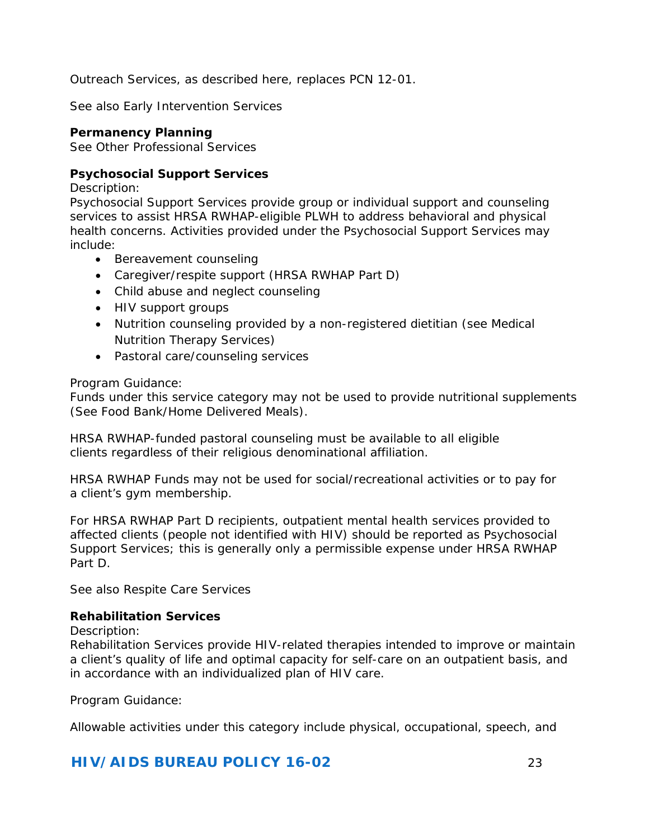Outreach Services, as described here, replaces PCN 12-01.

<span id="page-22-0"></span>*See also* Early Intervention Services

#### **Permanency Planning**

*See* Other Professional Services

#### <span id="page-22-1"></span>**Psychosocial Support Services**

*Description:*

Psychosocial Support Services provide group or individual support and counseling services to assist HRSA RWHAP-eligible PLWH to address behavioral and physical health concerns. Activities provided under the Psychosocial Support Services may include:

- Bereavement counseling
- Caregiver/respite support (HRSA RWHAP Part D)
- Child abuse and neglect counseling
- HIV support groups
- Nutrition counseling provided by a non-registered dietitian (*see* Medical Nutrition Therapy Services)
- Pastoral care/counseling services

#### *Program Guidance:*

Funds under this service category may not be used to provide nutritional supplements (*See* Food Bank/Home Delivered Meals).

HRSA RWHAP-funded pastoral counseling must be available to all eligible clients regardless of their religious denominational affiliation.

HRSA RWHAP Funds may not be used for social/recreational activities or to pay for a client's gym membership.

For HRSA RWHAP Part D recipients, outpatient mental health services provided to affected clients (people not identified with HIV) should be reported as Psychosocial Support Services; this is generally only a permissible expense under HRSA RWHAP Part D.

*See also* Respite Care Services

#### <span id="page-22-2"></span>**Rehabilitation Services**

#### *Description:*

Rehabilitation Services provide HIV-related therapies intended to improve or maintain a client's quality of life and optimal capacity for self-care on an outpatient basis, and in accordance with an individualized plan of HIV care.

#### *Program Guidance:*

Allowable activities under this category include physical, occupational, speech, and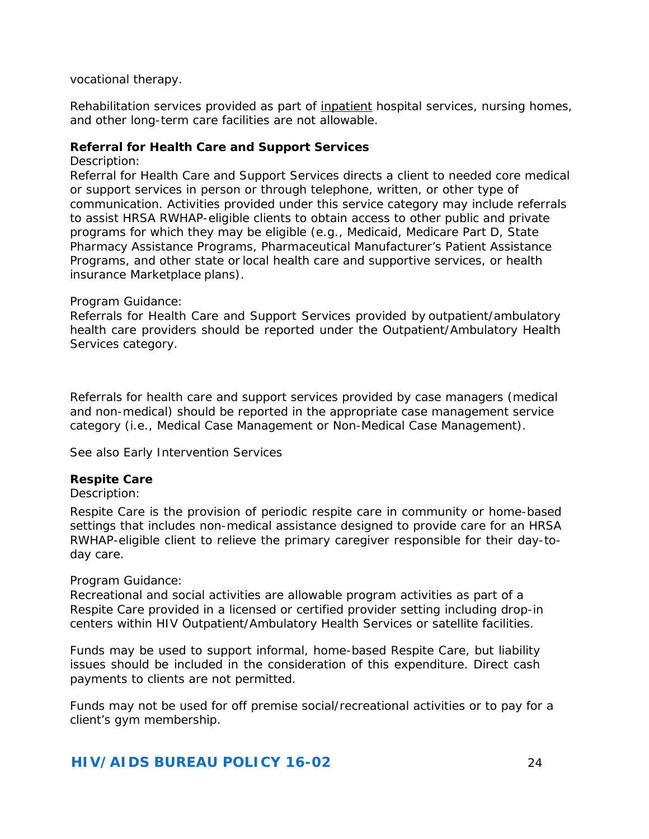vocational therapy.

Rehabilitation services provided as part of inpatient hospital services, nursing homes, and other long-term care facilities are not allowable.

#### <span id="page-23-0"></span>**Referral for Health Care and Support Services**

#### *Description:*

Referral for Health Care and Support Services directs a client to needed core medical or support services in person or through telephone, written, or other type of communication. Activities provided under this service category may include referrals to assist HRSA RWHAP-eligible clients to obtain access to other public and private programs for which they may be eligible (e.g., Medicaid, Medicare Part D, State Pharmacy Assistance Programs, Pharmaceutical Manufacturer's Patient Assistance Programs, and other state or local health care and supportive services, or health insurance Marketplace plans).

#### *Program Guidance:*

Referrals for Health Care and Support Services provided by outpatient/ambulatory health care providers should be reported under the Outpatient/Ambulatory Health Services category.

Referrals for health care and support services provided by case managers (medical and non-medical) should be reported in the appropriate case management service category (i.e., Medical Case Management or Non-Medical Case Management).

<span id="page-23-1"></span>*See also* Early Intervention Services

#### **Respite Care**

#### *Description:*

Respite Care is the provision of periodic respite care in community or home-based settings that includes non-medical assistance designed to provide care for an HRSA RWHAP-eligible client to relieve the primary caregiver responsible for their day-today care.

#### *Program Guidance:*

Recreational and social activities are allowable program activities as part of a Respite Care provided in a licensed or certified provider setting including drop-in centers within HIV Outpatient/Ambulatory Health Services or satellite facilities.

Funds may be used to support informal, home-based Respite Care, but liability issues should be included in the consideration of this expenditure. Direct cash payments to clients are not permitted.

Funds may not be used for off premise social/recreational activities or to pay for a client's gym membership.